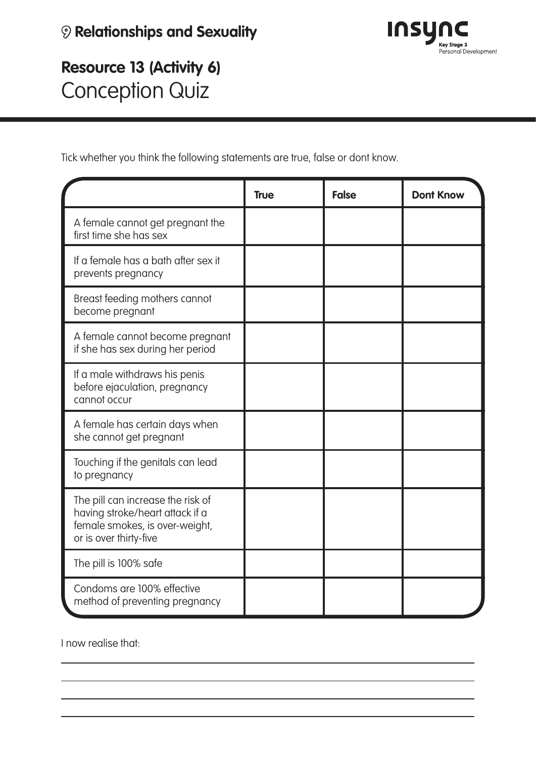

**Resource 13 (Activity 6)** Conception Quiz

Tick whether you think the following statements are true, false or dont know.

|                                                                                                                                  | <b>True</b> | <b>False</b> | <b>Dont Know</b> |
|----------------------------------------------------------------------------------------------------------------------------------|-------------|--------------|------------------|
| A female cannot get pregnant the<br>first time she has sex                                                                       |             |              |                  |
| If a female has a bath after sex it<br>prevents pregnancy                                                                        |             |              |                  |
| Breast feeding mothers cannot<br>become pregnant                                                                                 |             |              |                  |
| A female cannot become pregnant<br>if she has sex during her period                                                              |             |              |                  |
| If a male withdraws his penis<br>before ejaculation, pregnancy<br>cannot occur                                                   |             |              |                  |
| A female has certain days when<br>she cannot get pregnant                                                                        |             |              |                  |
| Touching if the genitals can lead<br>to pregnancy                                                                                |             |              |                  |
| The pill can increase the risk of<br>having stroke/heart attack if a<br>female smokes, is over-weight,<br>or is over thirty-five |             |              |                  |
| The pill is 100% safe                                                                                                            |             |              |                  |
| Condoms are 100% effective<br>method of preventing pregnancy                                                                     |             |              |                  |

I now realise that: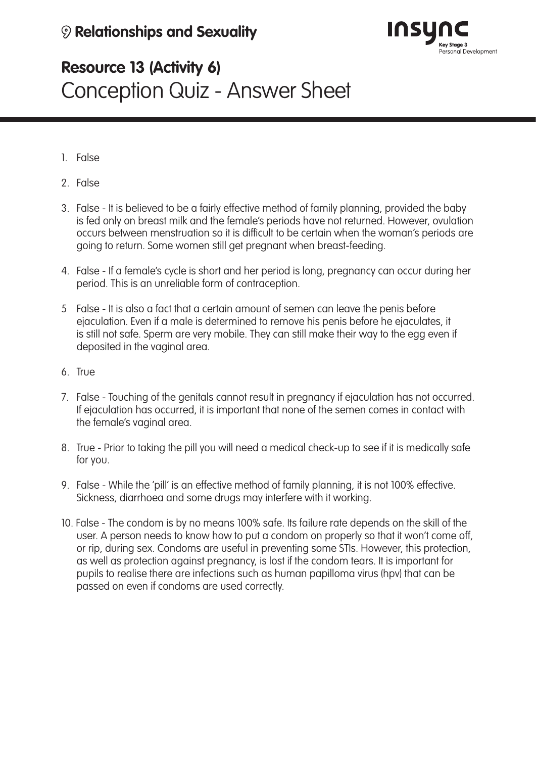

# **Resource 13 (Activity 6)** Conception Quiz - Answer Sheet

- 1. False
- 2. False
- 3. False It is believed to be a fairly effective method of family planning, provided the baby is fed only on breast milk and the female's periods have not returned. However, ovulation occurs between menstruation so it is difficult to be certain when the woman's periods are going to return. Some women still get pregnant when breast-feeding.
- 4. False If a female's cycle is short and her period is long, pregnancy can occur during her period. This is an unreliable form of contraception.
- 5 False It is also a fact that a certain amount of semen can leave the penis before ejaculation. Even if a male is determined to remove his penis before he ejaculates, it is still not safe. Sperm are very mobile. They can still make their way to the egg even if deposited in the vaginal area.
- 6. True
- 7. False Touching of the genitals cannot result in pregnancy if ejaculation has not occurred. If ejaculation has occurred, it is important that none of the semen comes in contact with the female's vaginal area.
- 8. True Prior to taking the pill you will need a medical check-up to see if it is medically safe for you.
- 9. False While the 'pill' is an effective method of family planning, it is not 100% effective. Sickness, diarrhoea and some drugs may interfere with it working.
- 10. False The condom is by no means 100% safe. Its failure rate depends on the skill of the user. A person needs to know how to put a condom on properly so that it won't come off, or rip, during sex. Condoms are useful in preventing some STIs. However, this protection, as well as protection against pregnancy, is lost if the condom tears. It is important for pupils to realise there are infections such as human papilloma virus (hpv) that can be passed on even if condoms are used correctly.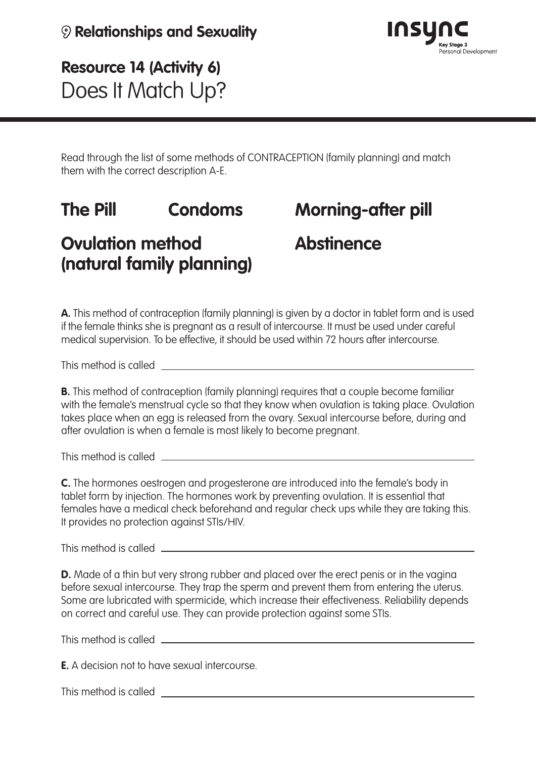

**Resource 14 (Activity 6)** Does It Match Up?

Read through the list of some methods of CONTRACEPTION (family planning) and match them with the correct description A-E.

# **The Pill Condoms**

## **Morning-after pill**

### **Ovulation method (natural family planning)**

**Abstinence**

**A.** This method of contraception (family planning) is given by a doctor in tablet form and is used if the female thinks she is pregnant as a result of intercourse. It must be used under careful medical supervision. To be effective, it should be used within 72 hours after intercourse.

This method is called

**B.** This method of contraception (family planning) requires that a couple become familiar with the female's menstrual cycle so that they know when ovulation is taking place. Ovulation takes place when an egg is released from the ovary. Sexual intercourse before, during and after ovulation is when a female is most likely to become pregnant.

This method is called

**C.** The hormones oestrogen and progesterone are introduced into the female's body in tablet form by injection. The hormones work by preventing ovulation. It is essential that females have a medical check beforehand and regular check ups while they are taking this. It provides no protection against STIs/HIV.

This method is called

**D.** Made of a thin but very strong rubber and placed over the erect penis or in the vagina before sexual intercourse. They trap the sperm and prevent them from entering the uterus. Some are lubricated with spermicide, which increase their effectiveness. Reliability depends on correct and careful use. They can provide protection against some STIs.

This method is called

**E.** A decision not to have sexual intercourse.

This method is called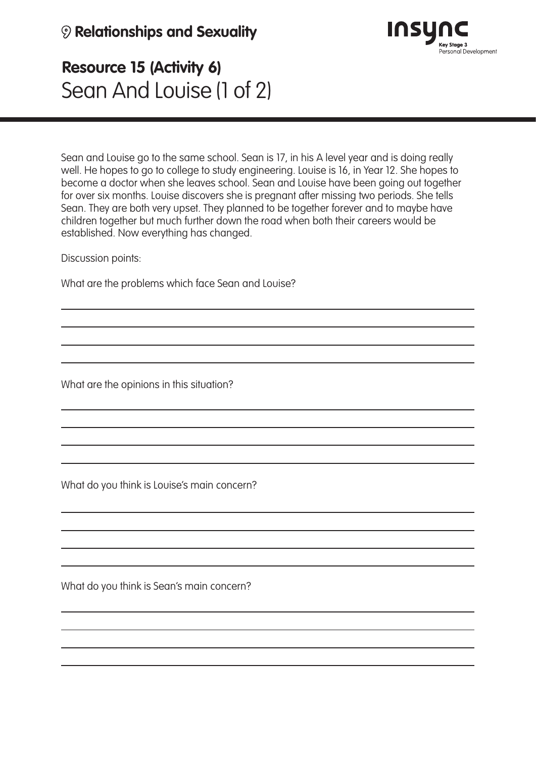#### **9 Relationships and Sexuality**



## **Resource 15 (Activity 6)** Sean And Louise (1 of 2)

Sean and Louise go to the same school. Sean is 17, in his A level year and is doing really well. He hopes to go to college to study engineering. Louise is 16, in Year 12. She hopes to become a doctor when she leaves school. Sean and Louise have been going out together for over six months. Louise discovers she is pregnant after missing two periods. She tells Sean. They are both very upset. They planned to be together forever and to maybe have children together but much further down the road when both their careers would be established. Now everything has changed.

Discussion points:

What are the problems which face Sean and Louise?

What are the opinions in this situation?

What do you think is Louise's main concern?

What do you think is Sean's main concern?